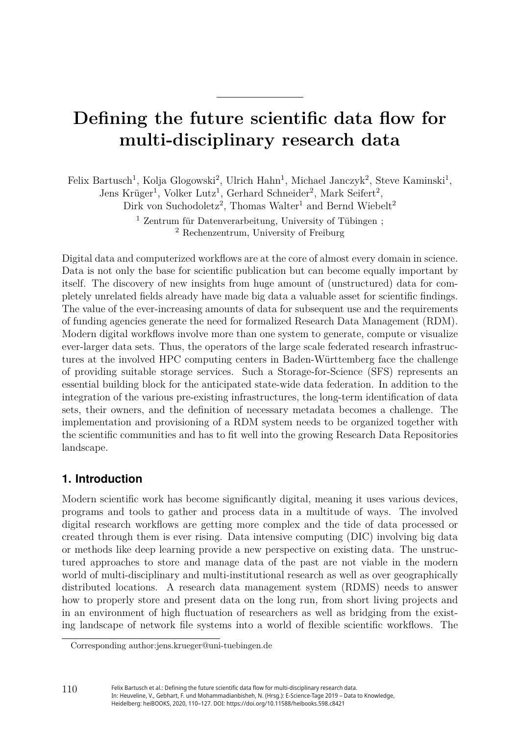# **Defining the future scientific data flow for multi-disciplinary research data**

Felix Bartusch<sup>1</sup>, Kolja Glogowski<sup>2</sup>, Ulrich Hahn<sup>1</sup>, Michael Janczyk<sup>2</sup>, Steve Kaminski<sup>1</sup>, Jens Krüger<sup>1</sup>, Volker Lutz<sup>1</sup>, Gerhard Schneider<sup>2</sup>, Mark Seifert<sup>2</sup>, Dirk von Suchodoletz<sup>2</sup>, Thomas Walter<sup>1</sup> and Bernd Wiebelt<sup>2</sup>

> <sup>1</sup> Zentrum für Datenverarbeitung, University of Tübingen ; <sup>2</sup> Rechenzentrum, University of Freiburg

Digital data and computerized workflows are at the core of almost every domain in science. Data is not only the base for scientific publication but can become equally important by itself. The discovery of new insights from huge amount of (unstructured) data for completely unrelated fields already have made big data a valuable asset for scientific findings. The value of the ever-increasing amounts of data for subsequent use and the requirements of funding agencies generate the need for formalized Research Data Management (RDM). Modern digital workflows involve more than one system to generate, compute or visualize ever-larger data sets. Thus, the operators of the large scale federated research infrastructures at the involved HPC computing centers in Baden-Württemberg face the challenge of providing suitable storage services. Such a Storage-for-Science (SFS) represents an essential building block for the anticipated state-wide data federation. In addition to the integration of the various pre-existing infrastructures, the long-term identification of data sets, their owners, and the definition of necessary metadata becomes a challenge. The implementation and provisioning of a RDM system needs to be organized together with the scientific communities and has to fit well into the growing Research Data Repositories landscape.

#### **1. Introduction**

Modern scientific work has become significantly digital, meaning it uses various devices, programs and tools to gather and process data in a multitude of ways. The involved digital research workflows are getting more complex and the tide of data processed or created through them is ever rising. Data intensive computing (DIC) involving big data or methods like deep learning provide a new perspective on existing data. The unstructured approaches to store and manage data of the past are not viable in the modern world of multi-disciplinary and multi-institutional research as well as over geographically distributed locations. A research data management system (RDMS) needs to answer how to properly store and present data on the long run, from short living projects and in an environment of high fluctuation of researchers as well as bridging from the existing landscape of network file systems into a world of flexible scientific workflows. The

Corresponding author[:jens.krueger@uni-tuebingen.de](mailto:jens.krueger@uni-tuebingen.de)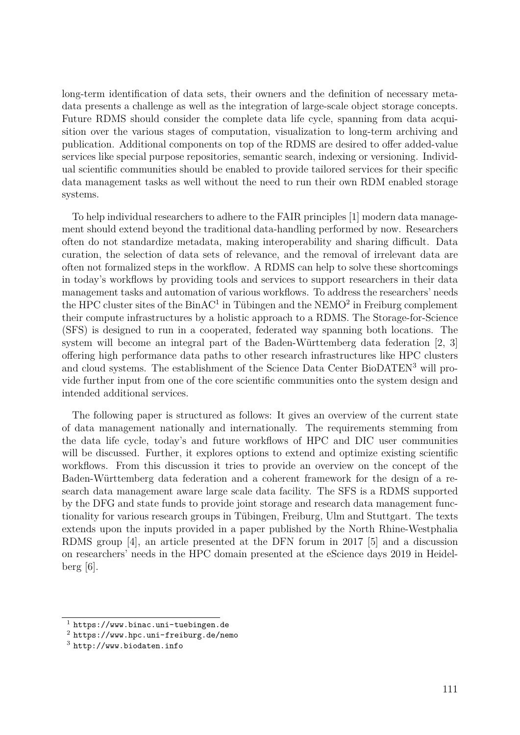long-term identification of data sets, their owners and the definition of necessary metadata presents a challenge as well as the integration of large-scale object storage concepts. Future RDMS should consider the complete data life cycle, spanning from data acquisition over the various stages of computation, visualization to long-term archiving and publication. Additional components on top of the RDMS are desired to offer added-value services like special purpose repositories, semantic search, indexing or versioning. Individual scientific communities should be enabled to provide tailored services for their specific data management tasks as well without the need to run their own RDM enabled storage systems.

To help individual researchers to adhere to the FAIR principles [1] modern data management should extend beyond the traditional data-handling performed by now. Researchers often do not standardize metadata, making interoperability and sharing difficult. Data curation, the selection of data sets of relevance, and the removal of irrelevant data are often not formalized steps in the workflow. A RDMS can help to solve these shortcomings in today's workflows by providing tools and services to support researchers in their data management tasks and automation of various workflows. To address the researchers' needs the HPC cluster sites of the  $BinAC<sup>1</sup>$  in Tübingen and the NEMO<sup>2</sup> in Freiburg complement their compute infrastructures by a holistic approach to a RDMS. The Storage-for-Science (SFS) is designed to run in a cooperated, federated way spanning both locations. The system will become an integral part of the Baden-Württemberg data federation [2, 3] offering high performance data paths to other research infrastructures like HPC clusters and cloud systems. The establishment of the Science Data Center BioDATEN<sup>3</sup> will provide further input from one of the core scientific communities onto the system design and intended additional services.

The following paper is structured as follows: It gives an overview of the current state of data management nationally and internationally. The requirements stemming from the data life cycle, today's and future workflows of HPC and DIC user communities will be discussed. Further, it explores options to extend and optimize existing scientific workflows. From this discussion it tries to provide an overview on the concept of the Baden-Württemberg data federation and a coherent framework for the design of a research data management aware large scale data facility. The SFS is a RDMS supported by the DFG and state funds to provide joint storage and research data management functionality for various research groups in Tübingen, Freiburg, Ulm and Stuttgart. The texts extends upon the inputs provided in a paper published by the North Rhine-Westphalia RDMS group [4], an article presented at the DFN forum in 2017 [5] and a discussion on researchers' needs in the HPC domain presented at the eScience days 2019 in Heidel- $\text{berg } [6]$ .

 $1$  <https://www.binac.uni-tuebingen.de>

<sup>2</sup> <https://www.hpc.uni-freiburg.de/nemo>

<sup>3</sup> <http://www.biodaten.info>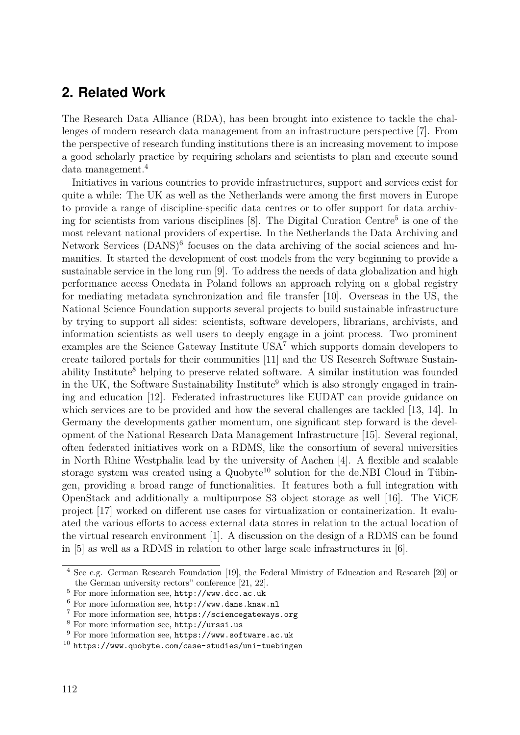### **2. Related Work**

The Research Data Alliance (RDA), has been brought into existence to tackle the challenges of modern research data management from an infrastructure perspective [7]. From the perspective of research funding institutions there is an increasing movement to impose a good scholarly practice by requiring scholars and scientists to plan and execute sound data management.4

Initiatives in various countries to provide infrastructures, support and services exist for quite a while: The UK as well as the Netherlands were among the first movers in Europe to provide a range of discipline-specific data centres or to offer support for data archiving for scientists from various disciplines [8]. The Digital Curation Centre<sup>5</sup> is one of the most relevant national providers of expertise. In the Netherlands the Data Archiving and Network Services (DANS)<sup>6</sup> focuses on the data archiving of the social sciences and humanities. It started the development of cost models from the very beginning to provide a sustainable service in the long run [9]. To address the needs of data globalization and high performance access Onedata in Poland follows an approach relying on a global registry for mediating metadata synchronization and file transfer [10]. Overseas in the US, the National Science Foundation supports several projects to build sustainable infrastructure by trying to support all sides: scientists, software developers, librarians, archivists, and information scientists as well users to deeply engage in a joint process. Two prominent examples are the Science Gateway Institute  $USA^7$  which supports domain developers to create tailored portals for their communities [11] and the US Research Software Sustainability Institute<sup>8</sup> helping to preserve related software. A similar institution was founded in the UK, the Software Sustainability Institute<sup>9</sup> which is also strongly engaged in training and education [12]. Federated infrastructures like EUDAT can provide guidance on which services are to be provided and how the several challenges are tackled [13, 14]. In Germany the developments gather momentum, one significant step forward is the development of the National Research Data Management Infrastructure [15]. Several regional, often federated initiatives work on a RDMS, like the consortium of several universities in North Rhine Westphalia lead by the university of Aachen [4]. A flexible and scalable storage system was created using a  $Quobyte<sup>10</sup>$  solution for the de.NBI Cloud in Tübingen, providing a broad range of functionalities. It features both a full integration with OpenStack and additionally a multipurpose S3 object storage as well [16]. The ViCE project [17] worked on different use cases for virtualization or containerization. It evaluated the various efforts to access external data stores in relation to the actual location of the virtual research environment [1]. A discussion on the design of a RDMS can be found in [5] as well as a RDMS in relation to other large scale infrastructures in [6].

<sup>4</sup> See e.g. German Research Foundation [19], the Federal Ministry of Education and Research [20] or the German university rectors" conference [21, 22].

<sup>5</sup> For more information see, <http://www.dcc.ac.uk>

<sup>6</sup> For more information see, <http://www.dans.knaw.nl>

<sup>7</sup> For more information see, <https://sciencegateways.org>

<sup>8</sup> For more information see, <http://urssi.us>

<sup>9</sup> For more information see, <https://www.software.ac.uk>

 $10$  <https://www.quobyte.com/case-studies/uni-tuebingen>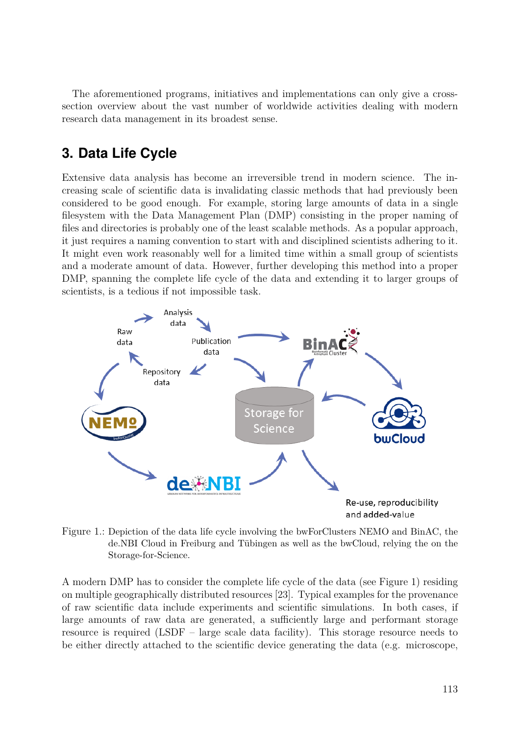The aforementioned programs, initiatives and implementations can only give a crosssection overview about the vast number of worldwide activities dealing with modern research data management in its broadest sense.

# **3. Data Life Cycle**

Extensive data analysis has become an irreversible trend in modern science. The increasing scale of scientific data is invalidating classic methods that had previously been considered to be good enough. For example, storing large amounts of data in a single filesystem with the Data Management Plan (DMP) consisting in the proper naming of files and directories is probably one of the least scalable methods. As a popular approach, it just requires a naming convention to start with and disciplined scientists adhering to it. It might even work reasonably well for a limited time within a small group of scientists and a moderate amount of data. However, further developing this method into a proper DMP, spanning the complete life cycle of the data and extending it to larger groups of scientists, is a tedious if not impossible task.



Figure 1.: Depiction of the data life cycle involving the bwForClusters NEMO and BinAC, the de.NBI Cloud in Freiburg and Tübingen as well as the bwCloud, relying the on the Storage-for-Science.

A modern DMP has to consider the complete life cycle of the data (see Figure 1) residing on multiple geographically distributed resources [23]. Typical examples for the provenance of raw scientific data include experiments and scientific simulations. In both cases, if large amounts of raw data are generated, a sufficiently large and performant storage resource is required (LSDF – large scale data facility). This storage resource needs to be either directly attached to the scientific device generating the data (e.g. microscope,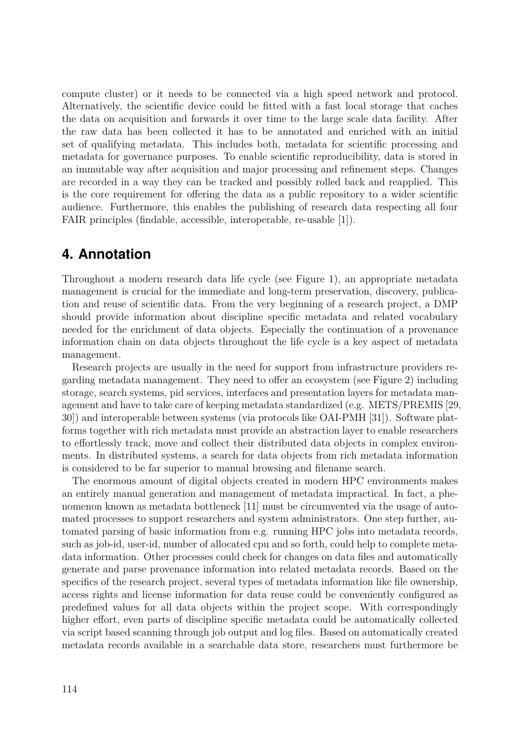compute cluster) or it needs to be connected via a high speed network and protocol. Alternatively, the scientific device could be fitted with a fast local storage that caches the data on acquisition and forwards it over time to the large scale data facility. After the raw data has been collected it has to be annotated and enriched with an initial set of qualifying metadata. This includes both, metadata for scientific processing and metadata for governance purposes. To enable scientific reproducibility, data is stored in an immutable way after acquisition and major processing and refinement steps. Changes are recorded in a way they can be tracked and possibly rolled back and reapplied. This is the core requirement for offering the data as a public repository to a wider scientific audience. Furthermore, this enables the publishing of research data respecting all four FAIR principles (findable, accessible, interoperable, re-usable [1]).

### **4. Annotation**

Throughout a modern research data life cycle (see Figure 1), an appropriate metadata management is crucial for the immediate and long-term preservation, discovery, publication and reuse of scientific data. From the very beginning of a research project, a DMP should provide information about discipline specific metadata and related vocabulary needed for the enrichment of data objects. Especially the continuation of a provenance information chain on data objects throughout the life cycle is a key aspect of metadata management.

Research projects are usually in the need for support from infrastructure providers regarding metadata management. They need to offer an ecosystem (see Figure 2) including storage, search systems, pid services, interfaces and presentation layers for metadata management and have to take care of keeping metadata standardized (e.g. METS/PREMIS [29, 30]) and interoperable between systems (via protocols like OAI-PMH [31]). Software platforms together with rich metadata must provide an abstraction layer to enable researchers to effortlessly track, move and collect their distributed data objects in complex environments. In distributed systems, a search for data objects from rich metadata information is considered to be far superior to manual browsing and filename search.

The enormous amount of digital objects created in modern HPC environments makes an entirely manual generation and management of metadata impractical. In fact, a phenomenon known as metadata bottleneck [11] must be circumvented via the usage of automated processes to support researchers and system administrators. One step further, automated parsing of basic information from e.g. running HPC jobs into metadata records, such as job-id, user-id, number of allocated cpu and so forth, could help to complete metadata information. Other processes could check for changes on data files and automatically generate and parse provenance information into related metadata records. Based on the specifics of the research project, several types of metadata information like file ownership, access rights and license information for data reuse could be conveniently configured as predefined values for all data objects within the project scope. With correspondingly higher effort, even parts of discipline specific metadata could be automatically collected via script based scanning through job output and log files. Based on automatically created metadata records available in a searchable data store, researchers must furthermore be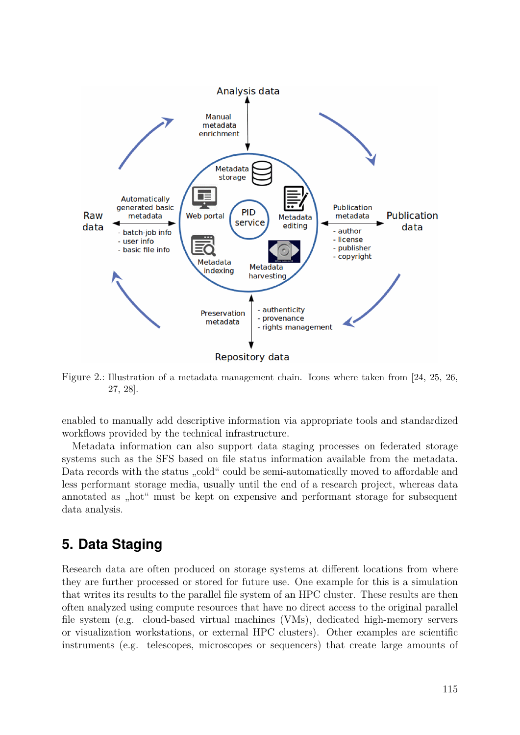

Figure 2.: Illustration of a metadata management chain. Icons where taken from [24, 25, 26, 27, 28].

enabled to manually add descriptive information via appropriate tools and standardized workflows provided by the technical infrastructure.

Metadata information can also support data staging processes on federated storage systems such as the SFS based on file status information available from the metadata. Data records with the status "cold" could be semi-automatically moved to affordable and less performant storage media, usually until the end of a research project, whereas data annotated as "hot" must be kept on expensive and performant storage for subsequent data analysis.

# **5. Data Staging**

Research data are often produced on storage systems at different locations from where they are further processed or stored for future use. One example for this is a simulation that writes its results to the parallel file system of an HPC cluster. These results are then often analyzed using compute resources that have no direct access to the original parallel file system (e.g. cloud-based virtual machines (VMs), dedicated high-memory servers or visualization workstations, or external HPC clusters). Other examples are scientific instruments (e.g. telescopes, microscopes or sequencers) that create large amounts of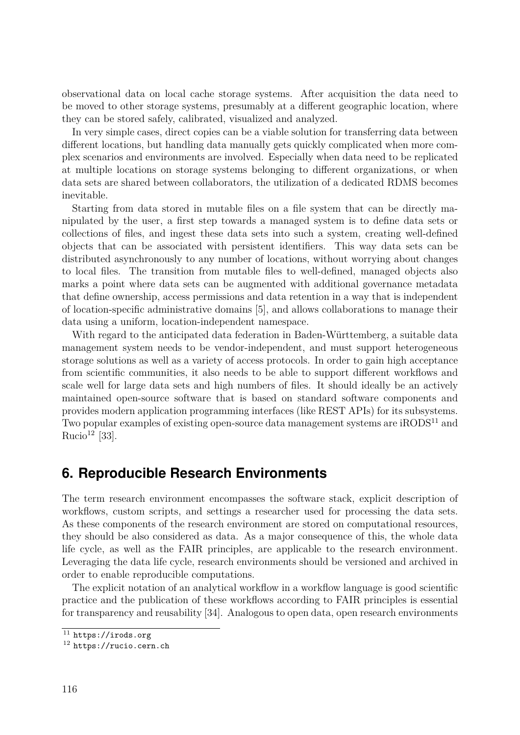observational data on local cache storage systems. After acquisition the data need to be moved to other storage systems, presumably at a different geographic location, where they can be stored safely, calibrated, visualized and analyzed.

In very simple cases, direct copies can be a viable solution for transferring data between different locations, but handling data manually gets quickly complicated when more complex scenarios and environments are involved. Especially when data need to be replicated at multiple locations on storage systems belonging to different organizations, or when data sets are shared between collaborators, the utilization of a dedicated RDMS becomes inevitable.

Starting from data stored in mutable files on a file system that can be directly manipulated by the user, a first step towards a managed system is to define data sets or collections of files, and ingest these data sets into such a system, creating well-defined objects that can be associated with persistent identifiers. This way data sets can be distributed asynchronously to any number of locations, without worrying about changes to local files. The transition from mutable files to well-defined, managed objects also marks a point where data sets can be augmented with additional governance metadata that define ownership, access permissions and data retention in a way that is independent of location-specific administrative domains [5], and allows collaborations to manage their data using a uniform, location-independent namespace.

With regard to the anticipated data federation in Baden-Württemberg, a suitable data management system needs to be vendor-independent, and must support heterogeneous storage solutions as well as a variety of access protocols. In order to gain high acceptance from scientific communities, it also needs to be able to support different workflows and scale well for large data sets and high numbers of files. It should ideally be an actively maintained open-source software that is based on standard software components and provides modern application programming interfaces (like REST APIs) for its subsystems. Two popular examples of existing open-source data management systems are iRODS<sup>11</sup> and Rucio<sup>12</sup> [33].

### **6. Reproducible Research Environments**

The term research environment encompasses the software stack, explicit description of workflows, custom scripts, and settings a researcher used for processing the data sets. As these components of the research environment are stored on computational resources, they should be also considered as data. As a major consequence of this, the whole data life cycle, as well as the FAIR principles, are applicable to the research environment. Leveraging the data life cycle, research environments should be versioned and archived in order to enable reproducible computations.

The explicit notation of an analytical workflow in a workflow language is good scientific practice and the publication of these workflows according to FAIR principles is essential for transparency and reusability [34]. Analogous to open data, open research environments

 $^{11}$ <https://irods.org>

<sup>12</sup> <https://rucio.cern.ch>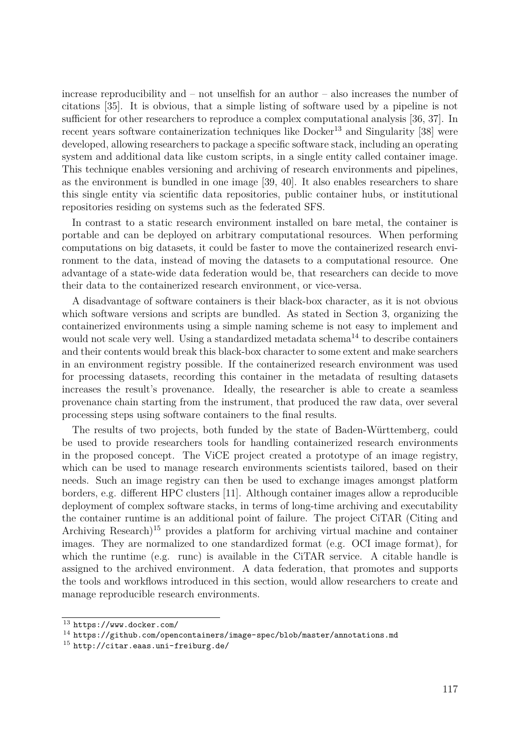increase reproducibility and – not unselfish for an author – also increases the number of citations [35]. It is obvious, that a simple listing of software used by a pipeline is not sufficient for other researchers to reproduce a complex computational analysis [36, 37]. In recent years software containerization techniques like  $Doker<sup>13</sup>$  and Singularity [38] were developed, allowing researchers to package a specific software stack, including an operating system and additional data like custom scripts, in a single entity called container image. This technique enables versioning and archiving of research environments and pipelines, as the environment is bundled in one image [39, 40]. It also enables researchers to share this single entity via scientific data repositories, public container hubs, or institutional repositories residing on systems such as the federated SFS.

In contrast to a static research environment installed on bare metal, the container is portable and can be deployed on arbitrary computational resources. When performing computations on big datasets, it could be faster to move the containerized research environment to the data, instead of moving the datasets to a computational resource. One advantage of a state-wide data federation would be, that researchers can decide to move their data to the containerized research environment, or vice-versa.

A disadvantage of software containers is their black-box character, as it is not obvious which software versions and scripts are bundled. As stated in Section 3, organizing the containerized environments using a simple naming scheme is not easy to implement and would not scale very well. Using a standardized metadata schema<sup>14</sup> to describe containers and their contents would break this black-box character to some extent and make searchers in an environment registry possible. If the containerized research environment was used for processing datasets, recording this container in the metadata of resulting datasets increases the result's provenance. Ideally, the researcher is able to create a seamless provenance chain starting from the instrument, that produced the raw data, over several processing steps using software containers to the final results.

The results of two projects, both funded by the state of Baden-Württemberg, could be used to provide researchers tools for handling containerized research environments in the proposed concept. The ViCE project created a prototype of an image registry, which can be used to manage research environments scientists tailored, based on their needs. Such an image registry can then be used to exchange images amongst platform borders, e.g. different HPC clusters [11]. Although container images allow a reproducible deployment of complex software stacks, in terms of long-time archiving and executability the container runtime is an additional point of failure. The project CiTAR (Citing and Archiving Research)<sup>15</sup> provides a platform for archiving virtual machine and container images. They are normalized to one standardized format (e.g. OCI image format), for which the runtime (e.g. runc) is available in the CiTAR service. A citable handle is assigned to the archived environment. A data federation, that promotes and supports the tools and workflows introduced in this section, would allow researchers to create and manage reproducible research environments.

<sup>13</sup> <https://www.docker.com/>

<sup>14</sup> <https://github.com/opencontainers/image-spec/blob/master/annotations.md>

<sup>15</sup> <http://citar.eaas.uni-freiburg.de/>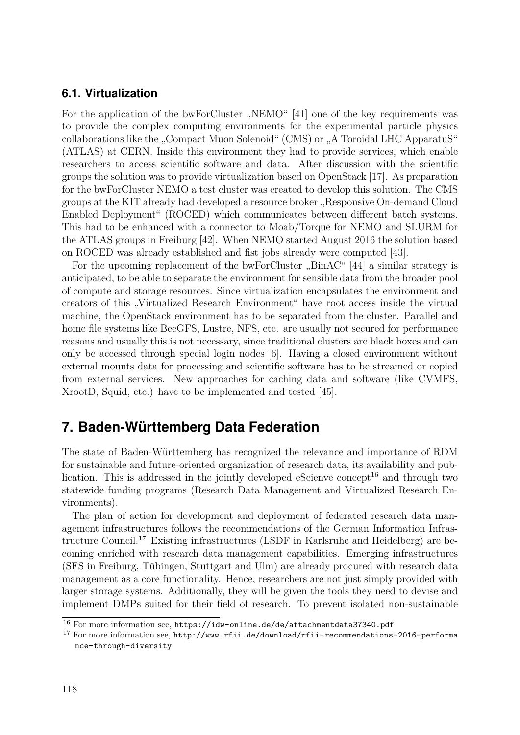#### **6.1. Virtualization**

For the application of the bwForCluster "NEMO" [41] one of the key requirements was to provide the complex computing environments for the experimental particle physics collaborations like the "Compact Muon Solenoid" (CMS) or "A Toroidal LHC ApparatuS" (ATLAS) at CERN. Inside this environment they had to provide services, which enable researchers to access scientific software and data. After discussion with the scientific groups the solution was to provide virtualization based on OpenStack [17]. As preparation for the bwForCluster NEMO a test cluster was created to develop this solution. The CMS groups at the KIT already had developed a resource broker "Responsive On-demand Cloud Enabled Deployment" (ROCED) which communicates between different batch systems. This had to be enhanced with a connector to Moab/Torque for NEMO and SLURM for the ATLAS groups in Freiburg [42]. When NEMO started August 2016 the solution based on ROCED was already established and fist jobs already were computed [43].

For the upcoming replacement of the bwForCluster "BinAC" [44] a similar strategy is anticipated, to be able to separate the environment for sensible data from the broader pool of compute and storage resources. Since virtualization encapsulates the environment and creators of this "Virtualized Research Environment" have root access inside the virtual machine, the OpenStack environment has to be separated from the cluster. Parallel and home file systems like BeeGFS, Lustre, NFS, etc. are usually not secured for performance reasons and usually this is not necessary, since traditional clusters are black boxes and can only be accessed through special login nodes [6]. Having a closed environment without external mounts data for processing and scientific software has to be streamed or copied from external services. New approaches for caching data and software (like CVMFS, XrootD, Squid, etc.) have to be implemented and tested [45].

# **7. Baden-Württemberg Data Federation**

The state of Baden-Württemberg has recognized the relevance and importance of RDM for sustainable and future-oriented organization of research data, its availability and publication. This is addressed in the jointly developed eScienve concept<sup>16</sup> and through two statewide funding programs (Research Data Management and Virtualized Research Environments).

The plan of action for development and deployment of federated research data management infrastructures follows the recommendations of the German Information Infrastructure Council.17 Existing infrastructures (LSDF in Karlsruhe and Heidelberg) are becoming enriched with research data management capabilities. Emerging infrastructures (SFS in Freiburg, Tübingen, Stuttgart and Ulm) are already procured with research data management as a core functionality. Hence, researchers are not just simply provided with larger storage systems. Additionally, they will be given the tools they need to devise and implement DMPs suited for their field of research. To prevent isolated non-sustainable

<sup>16</sup> For more information see, <https://idw-online.de/de/attachmentdata37340.pdf>

<sup>&</sup>lt;sup>17</sup> For more information see, [http://www.rfii.de/download/rfii-recommendations-2016-performa](http://www.rfii.de/download/rfii-recommendations-2016-performance-through-diversity) [nce-through-diversity](http://www.rfii.de/download/rfii-recommendations-2016-performance-through-diversity)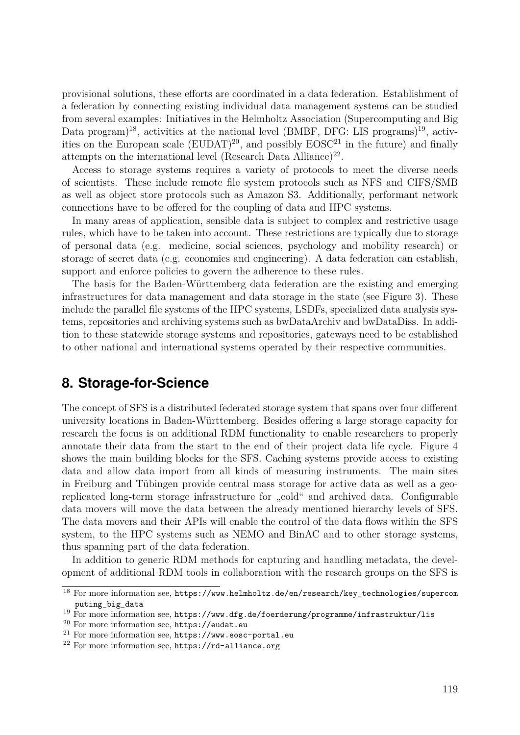provisional solutions, these efforts are coordinated in a data federation. Establishment of a federation by connecting existing individual data management systems can be studied from several examples: Initiatives in the Helmholtz Association (Supercomputing and Big Data program)<sup>18</sup>, activities at the national level (BMBF, DFG: LIS programs)<sup>19</sup>, activities on the European scale  $(EUDAT)^{20}$ , and possibly  $EOSC^{21}$  in the future) and finally attempts on the international level (Research Data Alliance)<sup>22</sup>.

Access to storage systems requires a variety of protocols to meet the diverse needs of scientists. These include remote file system protocols such as NFS and CIFS/SMB as well as object store protocols such as Amazon S3. Additionally, performant network connections have to be offered for the coupling of data and HPC systems.

In many areas of application, sensible data is subject to complex and restrictive usage rules, which have to be taken into account. These restrictions are typically due to storage of personal data (e.g. medicine, social sciences, psychology and mobility research) or storage of secret data (e.g. economics and engineering). A data federation can establish, support and enforce policies to govern the adherence to these rules.

The basis for the Baden-Württemberg data federation are the existing and emerging infrastructures for data management and data storage in the state (see Figure 3). These include the parallel file systems of the HPC systems, LSDFs, specialized data analysis systems, repositories and archiving systems such as bwDataArchiv and bwDataDiss. In addition to these statewide storage systems and repositories, gateways need to be established to other national and international systems operated by their respective communities.

### **8. Storage-for-Science**

The concept of SFS is a distributed federated storage system that spans over four different university locations in Baden-Württemberg. Besides offering a large storage capacity for research the focus is on additional RDM functionality to enable researchers to properly annotate their data from the start to the end of their project data life cycle. Figure 4 shows the main building blocks for the SFS. Caching systems provide access to existing data and allow data import from all kinds of measuring instruments. The main sites in Freiburg and Tübingen provide central mass storage for active data as well as a georeplicated long-term storage infrastructure for "cold" and archived data. Configurable data movers will move the data between the already mentioned hierarchy levels of SFS. The data movers and their APIs will enable the control of the data flows within the SFS system, to the HPC systems such as NEMO and BinAC and to other storage systems, thus spanning part of the data federation.

In addition to generic RDM methods for capturing and handling metadata, the development of additional RDM tools in collaboration with the research groups on the SFS is

<sup>18</sup> For more information see, [https://www.helmholtz.de/en/research/key\\_technologies/supercom](https://www.helmholtz.de/en/research/key_technologies/supercomputing_big_data) [puting\\_big\\_data](https://www.helmholtz.de/en/research/key_technologies/supercomputing_big_data)

 $19$  For more information see, <https://www.dfg.de/foerderung/programme/infrastruktur/lis>

<sup>20</sup> For more information see, <https://eudat.eu>

<sup>21</sup> For more information see, <https://www.eosc-portal.eu>

<sup>22</sup> For more information see, <https://rd-alliance.org>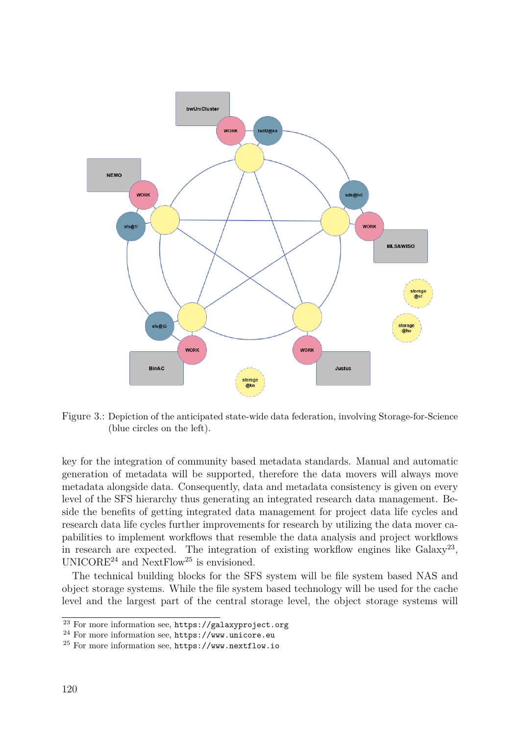

Figure 3.: Depiction of the anticipated state-wide data federation, involving Storage-for-Science (blue circles on the left).

key for the integration of community based metadata standards. Manual and automatic generation of metadata will be supported, therefore the data movers will always move metadata alongside data. Consequently, data and metadata consistency is given on every level of the SFS hierarchy thus generating an integrated research data management. Beside the benefits of getting integrated data management for project data life cycles and research data life cycles further improvements for research by utilizing the data mover capabilities to implement workflows that resemble the data analysis and project workflows in research are expected. The integration of existing workflow engines like  $Galaxy^{23}$ , UNICORE<sup>24</sup> and NextFlow<sup>25</sup> is envisioned.

The technical building blocks for the SFS system will be file system based NAS and object storage systems. While the file system based technology will be used for the cache level and the largest part of the central storage level, the object storage systems will

<sup>23</sup> For more information see, <https://galaxyproject.org>

<sup>24</sup> For more information see, <https://www.unicore.eu>

<sup>25</sup> For more information see, <https://www.nextflow.io>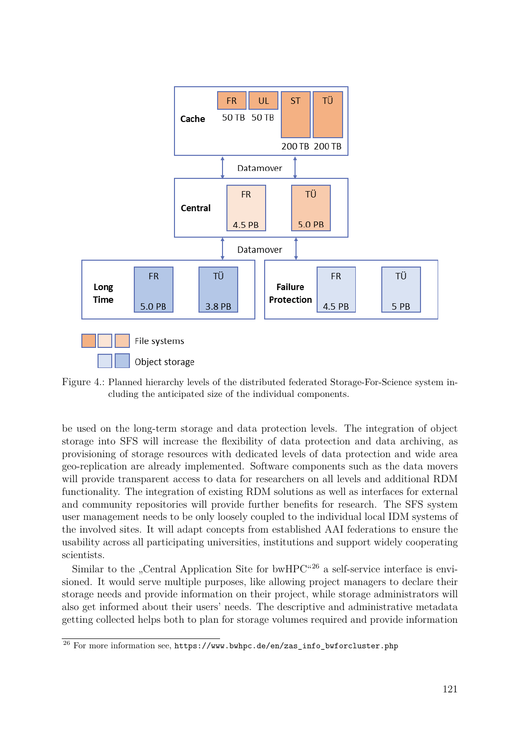

Figure 4.: Planned hierarchy levels of the distributed federated Storage-For-Science system including the anticipated size of the individual components.

be used on the long-term storage and data protection levels. The integration of object storage into SFS will increase the flexibility of data protection and data archiving, as provisioning of storage resources with dedicated levels of data protection and wide area geo-replication are already implemented. Software components such as the data movers will provide transparent access to data for researchers on all levels and additional RDM functionality. The integration of existing RDM solutions as well as interfaces for external and community repositories will provide further benefits for research. The SFS system user management needs to be only loosely coupled to the individual local IDM systems of the involved sites. It will adapt concepts from established AAI federations to ensure the usability across all participating universities, institutions and support widely cooperating scientists.

Similar to the "Central Application Site for bwHPC $^{426}$  a self-service interface is envisioned. It would serve multiple purposes, like allowing project managers to declare their storage needs and provide information on their project, while storage administrators will also get informed about their users' needs. The descriptive and administrative metadata getting collected helps both to plan for storage volumes required and provide information

 $26$  For more information see, [https://www.bwhpc.de/en/zas\\_info\\_bwforcluster.php](https://www.bwhpc.de/en/zas_info_bwforcluster.php)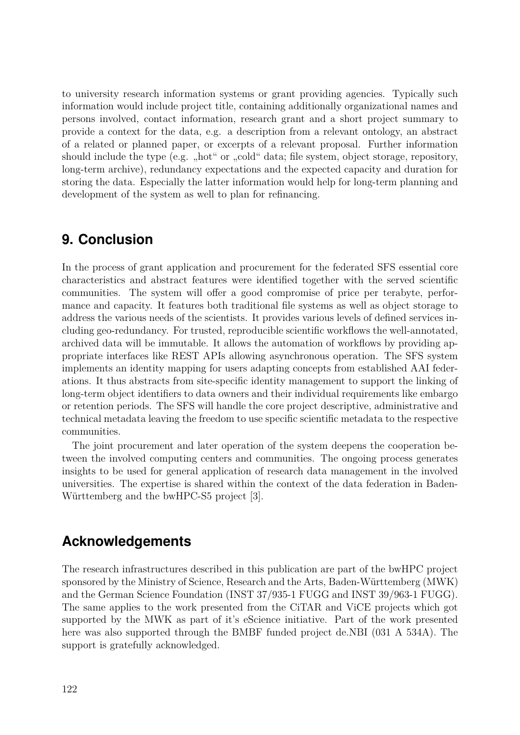to university research information systems or grant providing agencies. Typically such information would include project title, containing additionally organizational names and persons involved, contact information, research grant and a short project summary to provide a context for the data, e.g. a description from a relevant ontology, an abstract of a related or planned paper, or excerpts of a relevant proposal. Further information should include the type (e.g. "hot" or "cold" data; file system, object storage, repository, long-term archive), redundancy expectations and the expected capacity and duration for storing the data. Especially the latter information would help for long-term planning and development of the system as well to plan for refinancing.

### **9. Conclusion**

In the process of grant application and procurement for the federated SFS essential core characteristics and abstract features were identified together with the served scientific communities. The system will offer a good compromise of price per terabyte, performance and capacity. It features both traditional file systems as well as object storage to address the various needs of the scientists. It provides various levels of defined services including geo-redundancy. For trusted, reproducible scientific workflows the well-annotated, archived data will be immutable. It allows the automation of workflows by providing appropriate interfaces like REST APIs allowing asynchronous operation. The SFS system implements an identity mapping for users adapting concepts from established AAI federations. It thus abstracts from site-specific identity management to support the linking of long-term object identifiers to data owners and their individual requirements like embargo or retention periods. The SFS will handle the core project descriptive, administrative and technical metadata leaving the freedom to use specific scientific metadata to the respective communities.

The joint procurement and later operation of the system deepens the cooperation between the involved computing centers and communities. The ongoing process generates insights to be used for general application of research data management in the involved universities. The expertise is shared within the context of the data federation in Baden-Württemberg and the bwHPC-S5 project [3].

# **Acknowledgements**

The research infrastructures described in this publication are part of the bwHPC project sponsored by the Ministry of Science, Research and the Arts, Baden-Württemberg (MWK) and the German Science Foundation (INST 37/935-1 FUGG and INST 39/963-1 FUGG). The same applies to the work presented from the CiTAR and ViCE projects which got supported by the MWK as part of it's eScience initiative. Part of the work presented here was also supported through the BMBF funded project de.NBI (031 A 534A). The support is gratefully acknowledged.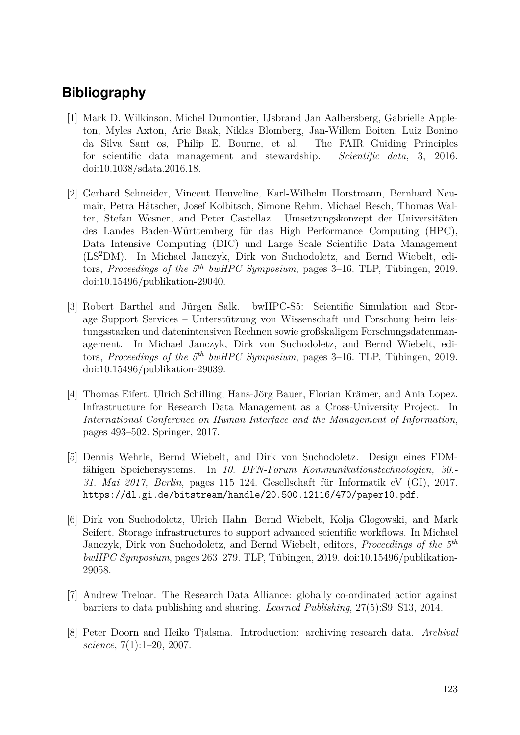# **Bibliography**

- [1] Mark D. Wilkinson, Michel Dumontier, IJsbrand Jan Aalbersberg, Gabrielle Appleton, Myles Axton, Arie Baak, Niklas Blomberg, Jan-Willem Boiten, Luiz Bonino da Silva Sant os, Philip E. Bourne, et al. The FAIR Guiding Principles for scientific data management and stewardship. *Scientific data*, 3, 2016. doi[:10.1038/sdata.2016.18.](http://dx.doi.org/10.1038/sdata.2016.18)
- [2] Gerhard Schneider, Vincent Heuveline, Karl-Wilhelm Horstmann, Bernhard Neumair, Petra Hätscher, Josef Kolbitsch, Simone Rehm, Michael Resch, Thomas Walter, Stefan Wesner, and Peter Castellaz. Umsetzungskonzept der Universitäten des Landes Baden-Württemberg für das High Performance Computing (HPC), Data Intensive Computing (DIC) und Large Scale Scientific Data Management (LS<sup>2</sup>DM). In Michael Janczyk, Dirk von Suchodoletz, and Bernd Wiebelt, editors, *Proceedings of the 5th bwHPC Symposium*, pages 3–16. TLP, Tübingen, 2019. doi[:10.15496/publikation-29040.](http://dx.doi.org/10.15496/publikation-29040)
- [3] Robert Barthel and Jürgen Salk. bwHPC-S5: Scientific Simulation and Storage Support Services – Unterstützung von Wissenschaft und Forschung beim leistungsstarken und datenintensiven Rechnen sowie großskaligem Forschungsdatenmanagement. In Michael Janczyk, Dirk von Suchodoletz, and Bernd Wiebelt, editors, *Proceedings of the 5th bwHPC Symposium*, pages 3–16. TLP, Tübingen, 2019. doi[:10.15496/publikation-29039.](http://dx.doi.org/10.15496/publikation-29039)
- [4] Thomas Eifert, Ulrich Schilling, Hans-Jörg Bauer, Florian Krämer, and Ania Lopez. Infrastructure for Research Data Management as a Cross-University Project. In *International Conference on Human Interface and the Management of Information*, pages 493–502. Springer, 2017.
- [5] Dennis Wehrle, Bernd Wiebelt, and Dirk von Suchodoletz. Design eines FDMfähigen Speichersystems. In *10. DFN-Forum Kommunikationstechnologien, 30.- 31. Mai 2017, Berlin*, pages 115–124. Gesellschaft für Informatik eV (GI), 2017. <https://dl.gi.de/bitstream/handle/20.500.12116/470/paper10.pdf>.
- [6] Dirk von Suchodoletz, Ulrich Hahn, Bernd Wiebelt, Kolja Glogowski, and Mark Seifert. Storage infrastructures to support advanced scientific workflows. In Michael Janczyk, Dirk von Suchodoletz, and Bernd Wiebelt, editors, *Proceedings of the 5th bwHPC Symposium*, pages 263–279. TLP, Tübingen, 2019. doi[:10.15496/publikation-](http://dx.doi.org/10.15496/publikation-29058)[29058.](http://dx.doi.org/10.15496/publikation-29058)
- [7] Andrew Treloar. The Research Data Alliance: globally co-ordinated action against barriers to data publishing and sharing. *Learned Publishing*, 27(5):S9–S13, 2014.
- [8] Peter Doorn and Heiko Tjalsma. Introduction: archiving research data. *Archival science*, 7(1):1–20, 2007.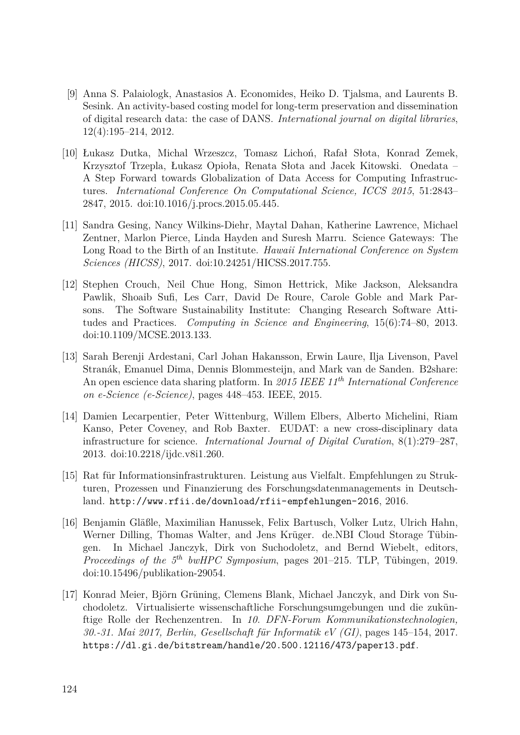- [9] Anna S. Palaiologk, Anastasios A. Economides, Heiko D. Tjalsma, and Laurents B. Sesink. An activity-based costing model for long-term preservation and dissemination of digital research data: the case of DANS. *International journal on digital libraries*, 12(4):195–214, 2012.
- [10] Łukasz Dutka, Michal Wrzeszcz, Tomasz Lichoń, Rafał Słota, Konrad Zemek, Krzysztof Trzepla, Łukasz Opioła, Renata Słota and Jacek Kitowski. Onedata – A Step Forward towards Globalization of Data Access for Computing Infrastructures. *International Conference On Computational Science, ICCS 2015*, 51:2843– 2847, 2015. doi[:10.1016/j.procs.2015.05.445.](http://dx.doi.org/10.1016/j.procs.2015.05.445)
- [11] Sandra Gesing, Nancy Wilkins-Diehr, Maytal Dahan, Katherine Lawrence, Michael Zentner, Marlon Pierce, Linda Hayden and Suresh Marru. Science Gateways: The Long Road to the Birth of an Institute. *Hawaii International Conference on System Sciences (HICSS)*, 2017. doi[:10.24251/HICSS.2017.755.](http://dx.doi.org/10.24251/HICSS.2017.755)
- [12] Stephen Crouch, Neil Chue Hong, Simon Hettrick, Mike Jackson, Aleksandra Pawlik, Shoaib Sufi, Les Carr, David De Roure, Carole Goble and Mark Parsons. The Software Sustainability Institute: Changing Research Software Attitudes and Practices. *Computing in Science and Engineering*, 15(6):74–80, 2013. doi[:10.1109/MCSE.2013.133.](http://dx.doi.org/10.1109/MCSE.2013.133)
- [13] Sarah Berenji Ardestani, Carl Johan Hakansson, Erwin Laure, Ilja Livenson, Pavel Stranák, Emanuel Dima, Dennis Blommesteijn, and Mark van de Sanden. B2share: An open escience data sharing platform. In *2015 IEEE 11th International Conference on e-Science (e-Science)*, pages 448–453. IEEE, 2015.
- [14] Damien Lecarpentier, Peter Wittenburg, Willem Elbers, Alberto Michelini, Riam Kanso, Peter Coveney, and Rob Baxter. EUDAT: a new cross-disciplinary data infrastructure for science. *International Journal of Digital Curation*, 8(1):279–287, 2013. doi[:10.2218/ijdc.v8i1.260.](http://dx.doi.org/10.2218/ijdc.v8i1.260)
- [15] Rat für Informationsinfrastrukturen. Leistung aus Vielfalt. Empfehlungen zu Strukturen, Prozessen und Finanzierung des Forschungsdatenmanagements in Deutschland. <http://www.rfii.de/download/rfii-empfehlungen-2016>, 2016.
- [16] Benjamin Gläßle, Maximilian Hanussek, Felix Bartusch, Volker Lutz, Ulrich Hahn, Werner Dilling, Thomas Walter, and Jens Krüger. de.NBI Cloud Storage Tübingen. In Michael Janczyk, Dirk von Suchodoletz, and Bernd Wiebelt, editors, *Proceedings of the 5th bwHPC Symposium*, pages 201–215. TLP, Tübingen, 2019. doi[:10.15496/publikation-29054.](http://dx.doi.org/10.15496/publikation-29054)
- [17] Konrad Meier, Björn Grüning, Clemens Blank, Michael Janczyk, and Dirk von Suchodoletz. Virtualisierte wissenschaftliche Forschungsumgebungen und die zukünftige Rolle der Rechenzentren. In *10. DFN-Forum Kommunikationstechnologien, 30.-31. Mai 2017, Berlin, Gesellschaft für Informatik eV (GI)*, pages 145–154, 2017. <https://dl.gi.de/bitstream/handle/20.500.12116/473/paper13.pdf>.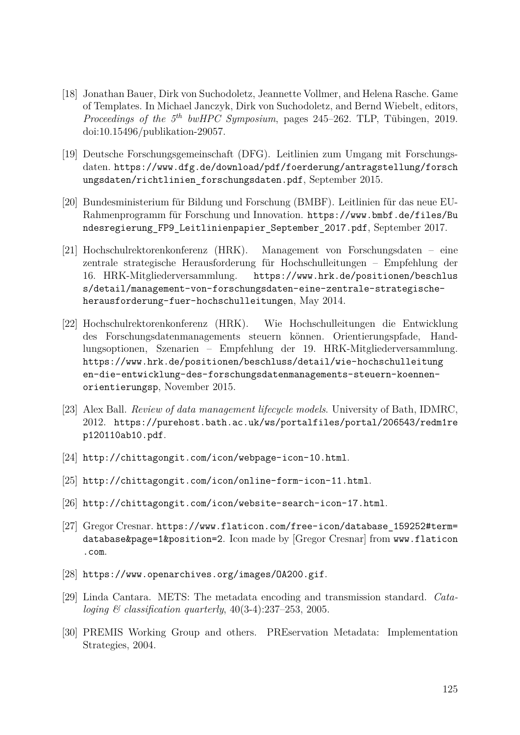- [18] Jonathan Bauer, Dirk von Suchodoletz, Jeannette Vollmer, and Helena Rasche. Game of Templates. In Michael Janczyk, Dirk von Suchodoletz, and Bernd Wiebelt, editors, *Proceedings of the 5th bwHPC Symposium*, pages 245–262. TLP, Tübingen, 2019. doi[:10.15496/publikation-29057.](http://dx.doi.org/10.15496/publikation-29057)
- [19] Deutsche Forschungsgemeinschaft (DFG). Leitlinien zum Umgang mit Forschungsdaten. [https://www.dfg.de/download/pdf/foerderung/antragstellung/forsch](https://www.dfg.de/download/pdf/foerderung/antragstellung/forschungsdaten/richtlinien_forschungsdaten.pdf) ungsdaten/richtlinien forschungsdaten.pdf, September 2015.
- [20] Bundesministerium für Bildung und Forschung (BMBF). Leitlinien für das neue EU-Rahmenprogramm für Forschung und Innovation. [https://www.bmbf.de/files/Bu](https://www.bmbf.de/files/Bundesregierung_FP9_Leitlinienpapier_September_2017.pdf) [ndesregierung\\_FP9\\_Leitlinienpapier\\_September\\_2017.pdf](https://www.bmbf.de/files/Bundesregierung_FP9_Leitlinienpapier_September_2017.pdf), September 2017.
- [21] Hochschulrektorenkonferenz (HRK). Management von Forschungsdaten eine zentrale strategische Herausforderung für Hochschulleitungen – Empfehlung der 16. HRK-Mitgliederversammlung. [https://www.hrk.de/positionen/beschlus](https://www.hrk.de/positionen/beschluss/detail/management-von-forschungsdaten-eine-zentrale-strategische-herausforderung-fuer-hochschulleitungen) [s/detail/management-von-forschungsdaten-eine-zentrale-strategische](https://www.hrk.de/positionen/beschluss/detail/management-von-forschungsdaten-eine-zentrale-strategische-herausforderung-fuer-hochschulleitungen)[herausforderung-fuer-hochschulleitungen](https://www.hrk.de/positionen/beschluss/detail/management-von-forschungsdaten-eine-zentrale-strategische-herausforderung-fuer-hochschulleitungen), May 2014.
- [22] Hochschulrektorenkonferenz (HRK). Wie Hochschulleitungen die Entwicklung des Forschungsdatenmanagements steuern können. Orientierungspfade, Handlungsoptionen, Szenarien – Empfehlung der 19. HRK-Mitgliederversammlung. [https://www.hrk.de/positionen/beschluss/detail/wie-hochschulleitung](https://www.hrk.de/positionen/beschluss/detail/wie-hochschulleitungen-die-entwicklung-des-forschungsdatenmanagements-steuern-koennen-orientierungsp) [en-die-entwicklung-des-forschungsdatenmanagements-steuern-koennen](https://www.hrk.de/positionen/beschluss/detail/wie-hochschulleitungen-die-entwicklung-des-forschungsdatenmanagements-steuern-koennen-orientierungsp)[orientierungsp](https://www.hrk.de/positionen/beschluss/detail/wie-hochschulleitungen-die-entwicklung-des-forschungsdatenmanagements-steuern-koennen-orientierungsp), November 2015.
- [23] Alex Ball. *Review of data management lifecycle models*. University of Bath, IDMRC, 2012. [https://purehost.bath.ac.uk/ws/portalfiles/portal/206543/redm1re](https://purehost.bath.ac.uk/ws/portalfiles/portal/206543/redm1rep120110ab10.pdf) [p120110ab10.pdf](https://purehost.bath.ac.uk/ws/portalfiles/portal/206543/redm1rep120110ab10.pdf).
- [24] <http://chittagongit.com/icon/webpage-icon-10.html>.
- [25] <http://chittagongit.com/icon/online-form-icon-11.html>.
- [26] <http://chittagongit.com/icon/website-search-icon-17.html>.
- [27] Gregor Cresnar. [https://www.flaticon.com/free-icon/database\\_159252#term=](https://www.flaticon.com/free-icon/database_159252#term=database&page=1&position=2) [database&page=1&position=2](https://www.flaticon.com/free-icon/database_159252#term=database&page=1&position=2). Icon made by [Gregor Cresnar] from [www.flaticon](www.flaticon.com) [.com](www.flaticon.com).
- [28] <https://www.openarchives.org/images/OA200.gif>.
- [29] Linda Cantara. METS: The metadata encoding and transmission standard. *Cataloging & classification quarterly*, 40(3-4):237–253, 2005.
- [30] PREMIS Working Group and others. PREservation Metadata: Implementation Strategies, 2004.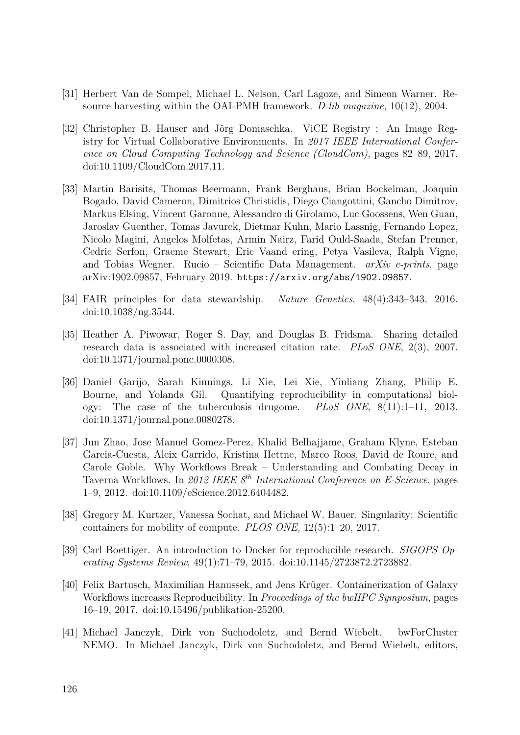- [31] Herbert Van de Sompel, Michael L. Nelson, Carl Lagoze, and Simeon Warner. Resource harvesting within the OAI-PMH framework. *D-lib magazine*, 10(12), 2004.
- [32] Christopher B. Hauser and Jörg Domaschka. ViCE Registry : An Image Registry for Virtual Collaborative Environments. In *2017 IEEE International Conference on Cloud Computing Technology and Science (CloudCom)*, pages 82–89, 2017. doi[:10.1109/CloudCom.2017.11.](http://dx.doi.org/10.1109/CloudCom.2017.11)
- [33] Martin Barisits, Thomas Beermann, Frank Berghaus, Brian Bockelman, Joaquin Bogado, David Cameron, Dimitrios Christidis, Diego Ciangottini, Gancho Dimitrov, Markus Elsing, Vincent Garonne, Alessandro di Girolamo, Luc Goossens, Wen Guan, Jaroslav Guenther, Tomas Javurek, Dietmar Kuhn, Mario Lassnig, Fernando Lopez, Nicolo Magini, Angelos Molfetas, Armin Nairz, Farid Ould-Saada, Stefan Prenner, Cedric Serfon, Graeme Stewart, Eric Vaand ering, Petya Vasileva, Ralph Vigne, and Tobias Wegner. Rucio – Scientific Data Management. *arXiv e-prints*, page arXiv:1902.09857, February 2019. <https://arxiv.org/abs/1902.09857>.
- [34] FAIR principles for data stewardship. *Nature Genetics*, 48(4):343–343, 2016. doi[:10.1038/ng.3544.](http://dx.doi.org/10.1038/ng.3544)
- [35] Heather A. Piwowar, Roger S. Day, and Douglas B. Fridsma. Sharing detailed research data is associated with increased citation rate. *PLoS ONE*, 2(3), 2007. doi[:10.1371/journal.pone.0000308.](http://dx.doi.org/10.1371/journal.pone.0000308)
- [36] Daniel Garijo, Sarah Kinnings, Li Xie, Lei Xie, Yinliang Zhang, Philip E. Bourne, and Yolanda Gil. Quantifying reproducibility in computational biology: The case of the tuberculosis drugome. *PLoS ONE*, 8(11):1–11, 2013. doi[:10.1371/journal.pone.0080278.](http://dx.doi.org/10.1371/journal.pone.0080278)
- [37] Jun Zhao, Jose Manuel Gomez-Perez, Khalid Belhajjame, Graham Klyne, Esteban Garcia-Cuesta, Aleix Garrido, Kristina Hettne, Marco Roos, David de Roure, and Carole Goble. Why Workflows Break – Understanding and Combating Decay in Taverna Workflows. In *2012 IEEE 8th International Conference on E-Science*, pages 1–9, 2012. doi[:10.1109/eScience.2012.6404482.](http://dx.doi.org/10.1109/eScience.2012.6404482)
- [38] Gregory M. Kurtzer, Vanessa Sochat, and Michael W. Bauer. Singularity: Scientific containers for mobility of compute. *PLOS ONE*, 12(5):1–20, 2017.
- [39] Carl Boettiger. An introduction to Docker for reproducible research. *SIGOPS Operating Systems Review*, 49(1):71–79, 2015. doi[:10.1145/2723872.2723882.](http://dx.doi.org/10.1145/2723872.2723882)
- [40] Felix Bartusch, Maximilian Hanussek, and Jens Krüger. Containerization of Galaxy Workflows increases Reproducibility. In *Proceedings of the bwHPC Symposium*, pages 16–19, 2017. doi[:10.15496/publikation-25200.](http://dx.doi.org/10.15496/publikation-25200)
- [41] Michael Janczyk, Dirk von Suchodoletz, and Bernd Wiebelt. bwForCluster NEMO. In Michael Janczyk, Dirk von Suchodoletz, and Bernd Wiebelt, editors,